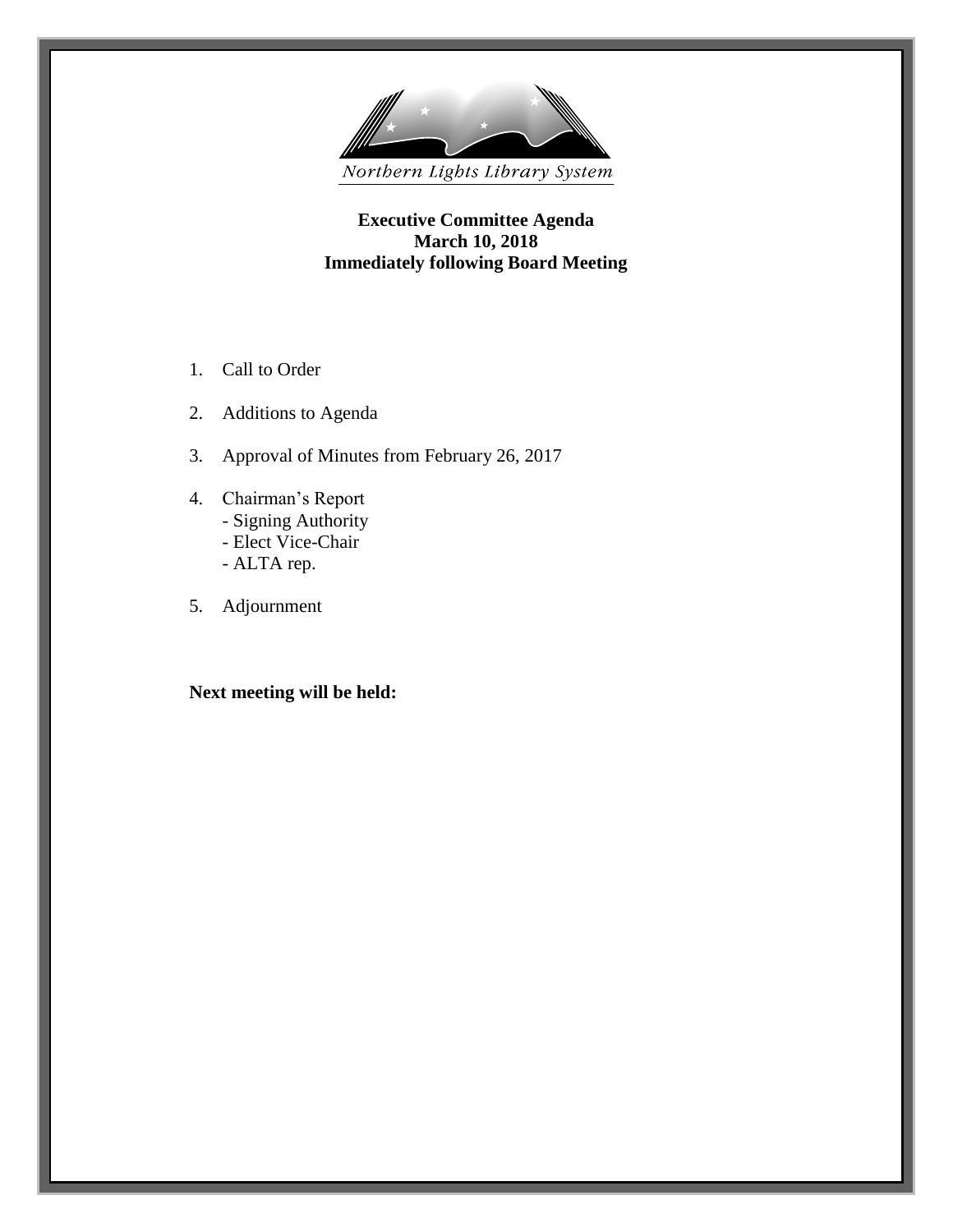

**Executive Committee Agenda March 10, 2018 Immediately following Board Meeting**

- 1. Call to Order
- 2. Additions to Agenda
- 3. Approval of Minutes from February 26, 2017
- 4. Chairman's Report - Signing Authority
	- Elect Vice-Chair
	- ALTA rep.
- 5. Adjournment

**Next meeting will be held:**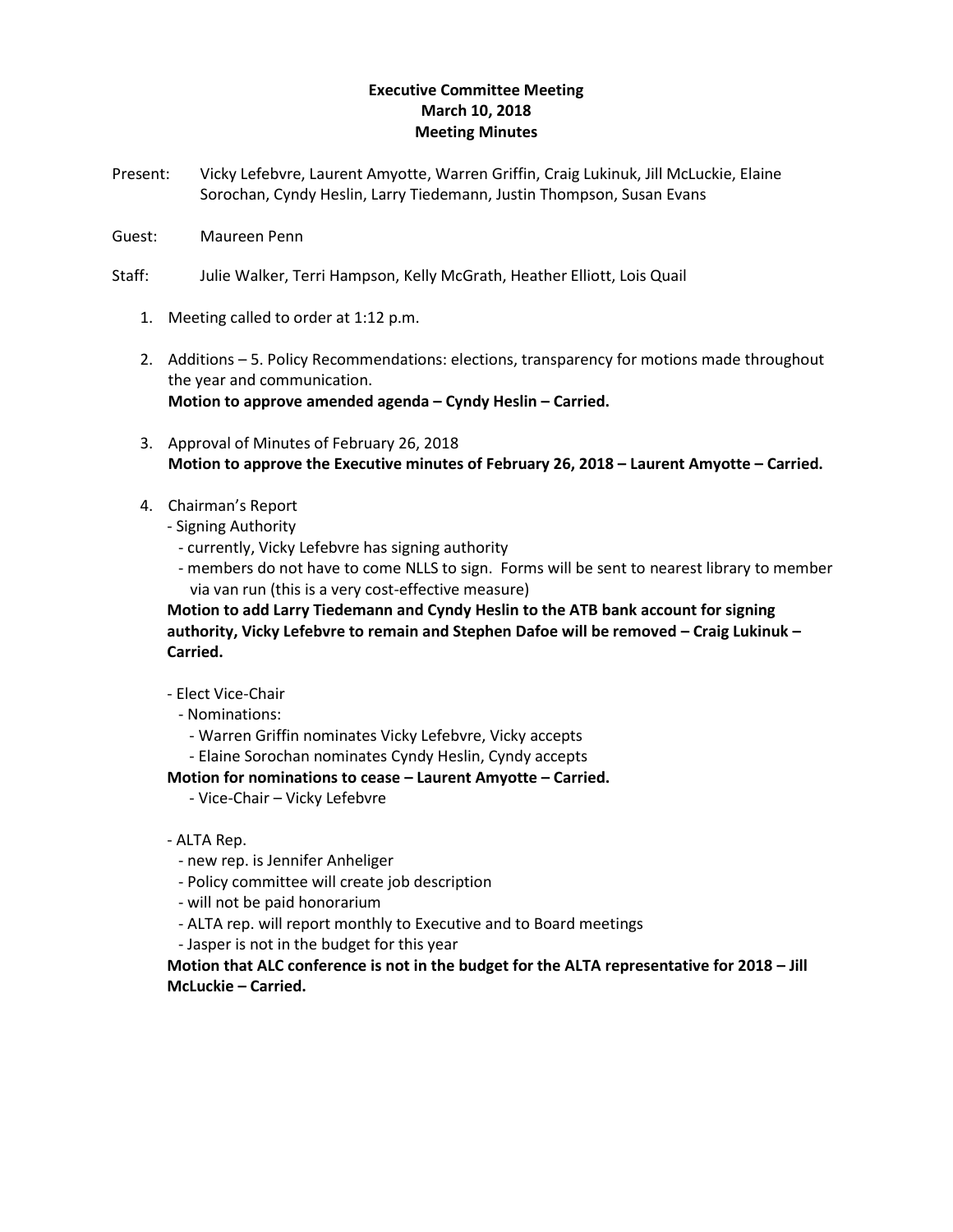## **Executive Committee Meeting March 10, 2018 Meeting Minutes**

- Present: Vicky Lefebvre, Laurent Amyotte, Warren Griffin, Craig Lukinuk, Jill McLuckie, Elaine Sorochan, Cyndy Heslin, Larry Tiedemann, Justin Thompson, Susan Evans
- Guest: Maureen Penn
- Staff: Julie Walker, Terri Hampson, Kelly McGrath, Heather Elliott, Lois Quail
	- 1. Meeting called to order at 1:12 p.m.
	- 2. Additions 5. Policy Recommendations: elections, transparency for motions made throughout the year and communication. **Motion to approve amended agenda – Cyndy Heslin – Carried.**
	- 3. Approval of Minutes of February 26, 2018 **Motion to approve the Executive minutes of February 26, 2018 – Laurent Amyotte – Carried.**
	- 4. Chairman's Report
		- Signing Authority
			- currently, Vicky Lefebvre has signing authority
			- members do not have to come NLLS to sign. Forms will be sent to nearest library to member via van run (this is a very cost-effective measure)

**Motion to add Larry Tiedemann and Cyndy Heslin to the ATB bank account for signing authority, Vicky Lefebvre to remain and Stephen Dafoe will be removed – Craig Lukinuk – Carried.**

- Elect Vice-Chair
	- Nominations:
		- Warren Griffin nominates Vicky Lefebvre, Vicky accepts
		- Elaine Sorochan nominates Cyndy Heslin, Cyndy accepts

**Motion for nominations to cease – Laurent Amyotte – Carried.**

- Vice-Chair Vicky Lefebvre
- ALTA Rep.
	- new rep. is Jennifer Anheliger
	- Policy committee will create job description
	- will not be paid honorarium
	- ALTA rep. will report monthly to Executive and to Board meetings
	- Jasper is not in the budget for this year

**Motion that ALC conference is not in the budget for the ALTA representative for 2018 – Jill McLuckie – Carried.**